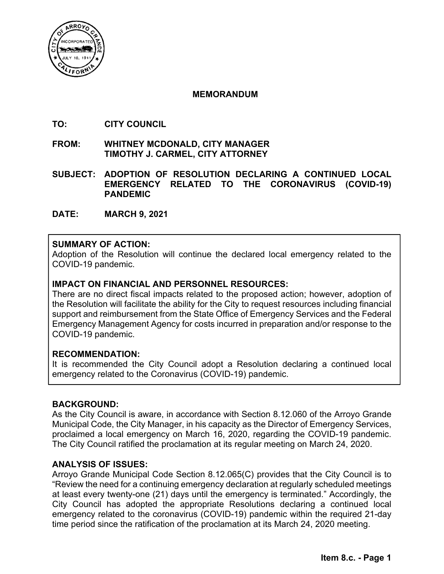

### **MEMORANDUM**

- **TO: CITY COUNCIL**
- **FROM: WHITNEY MCDONALD, CITY MANAGER TIMOTHY J. CARMEL, CITY ATTORNEY**
- **SUBJECT: ADOPTION OF RESOLUTION DECLARING A CONTINUED LOCAL EMERGENCY RELATED TO THE CORONAVIRUS (COVID-19) PANDEMIC**
- **DATE: MARCH 9, 2021**

# **SUMMARY OF ACTION:**

Adoption of the Resolution will continue the declared local emergency related to the COVID-19 pandemic.

# **IMPACT ON FINANCIAL AND PERSONNEL RESOURCES:**

There are no direct fiscal impacts related to the proposed action; however, adoption of the Resolution will facilitate the ability for the City to request resources including financial support and reimbursement from the State Office of Emergency Services and the Federal Emergency Management Agency for costs incurred in preparation and/or response to the COVID-19 pandemic.

# **RECOMMENDATION:**

It is recommended the City Council adopt a Resolution declaring a continued local emergency related to the Coronavirus (COVID-19) pandemic.

# **BACKGROUND:**

As the City Council is aware, in accordance with Section 8.12.060 of the Arroyo Grande Municipal Code, the City Manager, in his capacity as the Director of Emergency Services, proclaimed a local emergency on March 16, 2020, regarding the COVID-19 pandemic. The City Council ratified the proclamation at its regular meeting on March 24, 2020.

# **ANALYSIS OF ISSUES:**

Arroyo Grande Municipal Code Section 8.12.065(C) provides that the City Council is to "Review the need for a continuing emergency declaration at regularly scheduled meetings at least every twenty-one (21) days until the emergency is terminated." Accordingly, the City Council has adopted the appropriate Resolutions declaring a continued local emergency related to the coronavirus (COVID-19) pandemic within the required 21-day time period since the ratification of the proclamation at its March 24, 2020 meeting.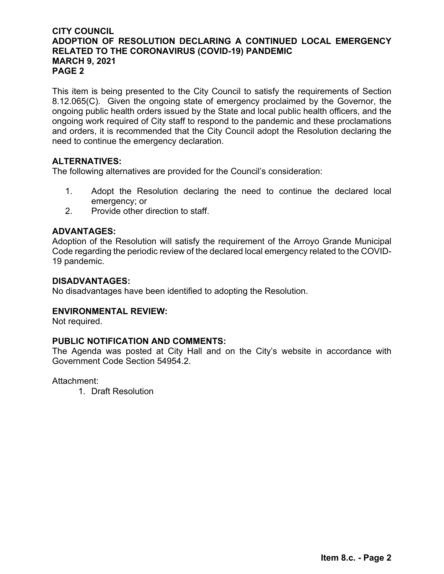# **CITY COUNCIL ADOPTION OF RESOLUTION DECLARING A CONTINUED LOCAL EMERGENCY RELATED TO THE CORONAVIRUS (COVID-19) PANDEMIC MARCH 9, 2021 PAGE 2**

This item is being presented to the City Council to satisfy the requirements of Section 8.12.065(C). Given the ongoing state of emergency proclaimed by the Governor, the ongoing public health orders issued by the State and local public health officers, and the ongoing work required of City staff to respond to the pandemic and these proclamations and orders, it is recommended that the City Council adopt the Resolution declaring the need to continue the emergency declaration.

# **ALTERNATIVES:**

The following alternatives are provided for the Council's consideration:

- 1. Adopt the Resolution declaring the need to continue the declared local emergency; or
- 2. Provide other direction to staff.

# **ADVANTAGES:**

Adoption of the Resolution will satisfy the requirement of the Arroyo Grande Municipal Code regarding the periodic review of the declared local emergency related to the COVID-19 pandemic.

# **DISADVANTAGES:**

No disadvantages have been identified to adopting the Resolution.

# **ENVIRONMENTAL REVIEW:**

Not required.

# **PUBLIC NOTIFICATION AND COMMENTS:**

The Agenda was posted at City Hall and on the City's website in accordance with Government Code Section 54954.2.

Attachment:

1. Draft Resolution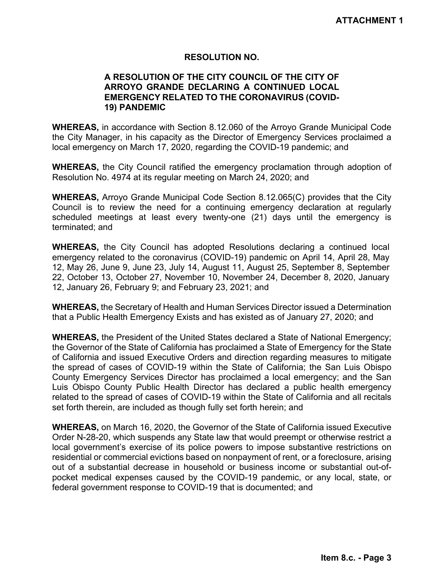### **RESOLUTION NO.**

### **A RESOLUTION OF THE CITY COUNCIL OF THE CITY OF ARROYO GRANDE DECLARING A CONTINUED LOCAL EMERGENCY RELATED TO THE CORONAVIRUS (COVID-19) PANDEMIC**

**WHEREAS,** in accordance with Section 8.12.060 of the Arroyo Grande Municipal Code the City Manager, in his capacity as the Director of Emergency Services proclaimed a local emergency on March 17, 2020, regarding the COVID-19 pandemic; and

**WHEREAS,** the City Council ratified the emergency proclamation through adoption of Resolution No. 4974 at its regular meeting on March 24, 2020; and

**WHEREAS,** Arroyo Grande Municipal Code Section 8.12.065(C) provides that the City Council is to review the need for a continuing emergency declaration at regularly scheduled meetings at least every twenty-one (21) days until the emergency is terminated; and

**WHEREAS,** the City Council has adopted Resolutions declaring a continued local emergency related to the coronavirus (COVID-19) pandemic on April 14, April 28, May 12, May 26, June 9, June 23, July 14, August 11, August 25, September 8, September 22, October 13, October 27, November 10, November 24, December 8, 2020, January 12, January 26, February 9; and February 23, 2021; and

**WHEREAS,** the Secretary of Health and Human Services Director issued a Determination that a Public Health Emergency Exists and has existed as of January 27, 2020; and

**WHEREAS,** the President of the United States declared a State of National Emergency; the Governor of the State of California has proclaimed a State of Emergency for the State of California and issued Executive Orders and direction regarding measures to mitigate the spread of cases of COVID-19 within the State of California; the San Luis Obispo County Emergency Services Director has proclaimed a local emergency; and the San Luis Obispo County Public Health Director has declared a public health emergency related to the spread of cases of COVID-19 within the State of California and all recitals set forth therein, are included as though fully set forth herein; and

**WHEREAS,** on March 16, 2020, the Governor of the State of California issued Executive Order N-28-20, which suspends any State law that would preempt or otherwise restrict a local government's exercise of its police powers to impose substantive restrictions on residential or commercial evictions based on nonpayment of rent, or a foreclosure, arising out of a substantial decrease in household or business income or substantial out-ofpocket medical expenses caused by the COVID-19 pandemic, or any local, state, or federal government response to COVID-19 that is documented; and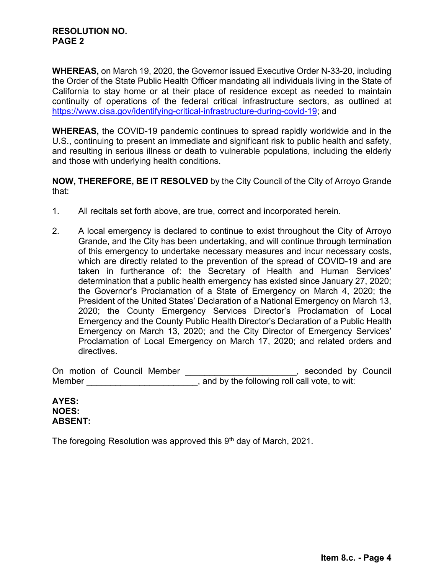### **RESOLUTION NO. PAGE 2**

**WHEREAS,** on March 19, 2020, the Governor issued Executive Order N-33-20, including the Order of the State Public Health Officer mandating all individuals living in the State of California to stay home or at their place of residence except as needed to maintain continuity of operations of the federal critical infrastructure sectors, as outlined at https://www.cisa.gov/identifying-critical-infrastructure-during-covid-19; and

**WHEREAS,** the COVID-19 pandemic continues to spread rapidly worldwide and in the U.S., continuing to present an immediate and significant risk to public health and safety, and resulting in serious illness or death to vulnerable populations, including the elderly and those with underlying health conditions.

**NOW, THEREFORE, BE IT RESOLVED** by the City Council of the City of Arroyo Grande that:

- 1. All recitals set forth above, are true, correct and incorporated herein.
- 2. A local emergency is declared to continue to exist throughout the City of Arroyo Grande, and the City has been undertaking, and will continue through termination of this emergency to undertake necessary measures and incur necessary costs, which are directly related to the prevention of the spread of COVID-19 and are taken in furtherance of: the Secretary of Health and Human Services' determination that a public health emergency has existed since January 27, 2020; the Governor's Proclamation of a State of Emergency on March 4, 2020; the President of the United States' Declaration of a National Emergency on March 13, 2020; the County Emergency Services Director's Proclamation of Local Emergency and the County Public Health Director's Declaration of a Public Health Emergency on March 13, 2020; and the City Director of Emergency Services' Proclamation of Local Emergency on March 17, 2020; and related orders and directives.

On motion of Council Member \_\_\_\_\_\_\_\_\_\_\_\_\_\_\_\_\_\_\_\_\_\_, seconded by Council Member \_\_\_\_\_\_\_\_\_\_\_\_\_\_\_\_\_\_\_\_\_\_\_\_\_\_, and by the following roll call vote, to wit:

#### **AYES: NOES: ABSENT:**

The foregoing Resolution was approved this  $9<sup>th</sup>$  day of March, 2021.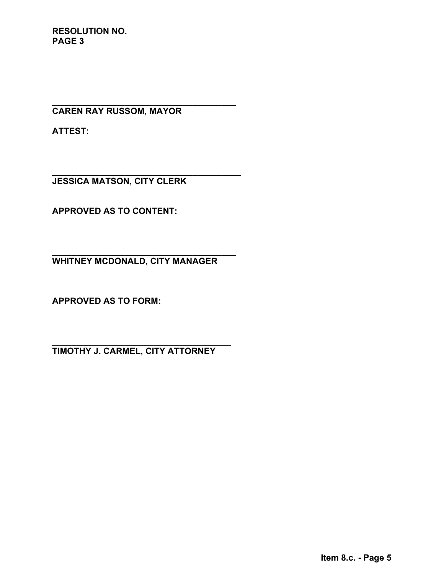**RESOLUTION NO. PAGE 3**

**\_\_\_\_\_\_\_\_\_\_\_\_\_\_\_\_\_\_\_\_\_\_\_\_\_\_\_\_\_\_\_\_\_\_\_\_\_\_ CAREN RAY RUSSOM, MAYOR** 

**ATTEST:** 

**JESSICA MATSON, CITY CLERK** 

**\_\_\_\_\_\_\_\_\_\_\_\_\_\_\_\_\_\_\_\_\_\_\_\_\_\_\_\_\_\_\_\_\_\_\_\_\_\_\_** 

**APPROVED AS TO CONTENT:** 

**\_\_\_\_\_\_\_\_\_\_\_\_\_\_\_\_\_\_\_\_\_\_\_\_\_\_\_\_\_\_\_\_\_\_\_\_\_\_ WHITNEY MCDONALD, CITY MANAGER** 

**APPROVED AS TO FORM:** 

**\_\_\_\_\_\_\_\_\_\_\_\_\_\_\_\_\_\_\_\_\_\_\_\_\_\_\_\_\_\_\_\_\_\_\_\_\_ TIMOTHY J. CARMEL, CITY ATTORNEY**